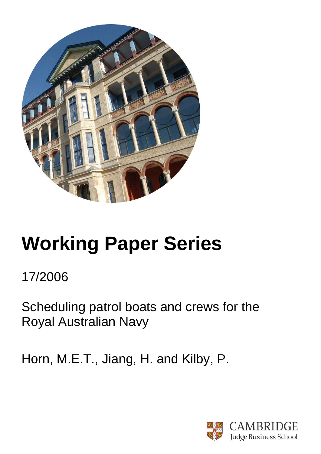

# **Working Paper Series**

# 17/2006

Scheduling patrol boats and crews for the Royal Australian Navy

Horn, M.E.T., Jiang, H. and Kilby, P.

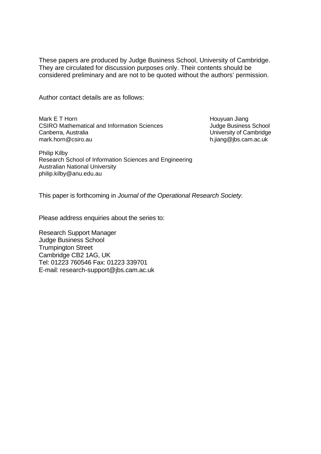These papers are produced by Judge Business School, University of Cambridge. They are circulated for discussion purposes only. Their contents should be considered preliminary and are not to be quoted without the authors' permission.

Author contact details are as follows:

Mark E T Horn CSIRO Mathematical and Information Sciences Canberra, Australia mark.horn@csiro.au

Houyuan Jiang Judge Business School University of Cambridge h.jiang@jbs.cam.ac.uk

Philip Kilby Research School of Information Sciences and Engineering Australian National University philip.kilby@anu.edu.au

This paper is forthcoming in *Journal of the Operational Research Society*.

Please address enquiries about the series to:

Research Support Manager Judge Business School Trumpington Street Cambridge CB2 1AG, UK Tel: 01223 760546 Fax: 01223 339701 E-mail: research-support@jbs.cam.ac.uk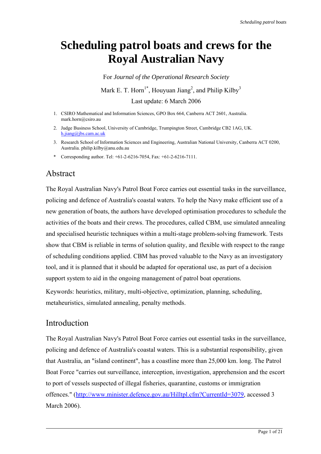# **Scheduling patrol boats and crews for the Royal Australian Navy**

For *Journal of the Operational Research Society*

Mark E. T. Horn<sup>1\*</sup>, Houyuan Jiang<sup>2</sup>, and Philip Kilby<sup>3</sup>

Last update: 6 March 2006

- 1. CSIRO Mathematical and Information Sciences, GPO Box 664, Canberra ACT 2601, Australia. mark.horn@csiro.au
- 2. Judge Business School, University of Cambridge, Trumpington Street, Cambridge CB2 1AG, UK. h.jiang@jbs.cam.ac.uk
- 3. Research School of Information Sciences and Engineering, Australian National University, Canberra ACT 0200, Australia. philip.kilby@anu.edu.au
- Corresponding author. Tel:  $+61-2-6216-7054$ , Fax:  $+61-2-6216-7111$ .

#### Abstract

The Royal Australian Navy's Patrol Boat Force carries out essential tasks in the surveillance, policing and defence of Australia's coastal waters. To help the Navy make efficient use of a new generation of boats, the authors have developed optimisation procedures to schedule the activities of the boats and their crews. The procedures, called CBM, use simulated annealing and specialised heuristic techniques within a multi-stage problem-solving framework. Tests show that CBM is reliable in terms of solution quality, and flexible with respect to the range of scheduling conditions applied. CBM has proved valuable to the Navy as an investigatory tool, and it is planned that it should be adapted for operational use, as part of a decision support system to aid in the ongoing management of patrol boat operations.

Keywords: heuristics, military, multi-objective, optimization, planning, scheduling, metaheuristics, simulated annealing, penalty methods.

#### Introduction

The Royal Australian Navy's Patrol Boat Force carries out essential tasks in the surveillance, policing and defence of Australia's coastal waters. This is a substantial responsibility, given that Australia, an "island continent", has a coastline more than 25,000 km. long. The Patrol Boat Force "carries out surveillance, interception, investigation, apprehension and the escort to port of vessels suspected of illegal fisheries, quarantine, customs or immigration offences." (http://www.minister.defence.gov.au/Hilltpl.cfm?CurrentId=3079, accessed 3 March 2006).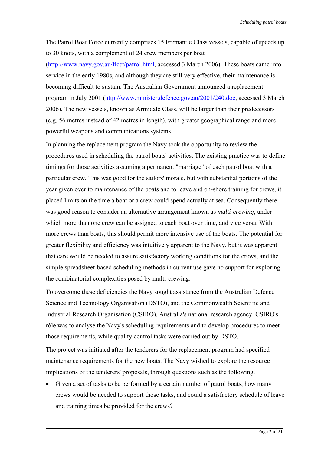The Patrol Boat Force currently comprises 15 Fremantle Class vessels, capable of speeds up to 30 knots, with a complement of 24 crew members per boat

(http://www.navy.gov.au/fleet/patrol.html, accessed 3 March 2006). These boats came into service in the early 1980s, and although they are still very effective, their maintenance is becoming difficult to sustain. The Australian Government announced a replacement program in July 2001 (http://www.minister.defence.gov.au/2001/240.doc, accessed 3 March 2006). The new vessels, known as Armidale Class, will be larger than their predecessors (e.g. 56 metres instead of 42 metres in length), with greater geographical range and more powerful weapons and communications systems.

In planning the replacement program the Navy took the opportunity to review the procedures used in scheduling the patrol boats' activities. The existing practice was to define timings for those activities assuming a permanent "marriage" of each patrol boat with a particular crew. This was good for the sailors' morale, but with substantial portions of the year given over to maintenance of the boats and to leave and on-shore training for crews, it placed limits on the time a boat or a crew could spend actually at sea. Consequently there was good reason to consider an alternative arrangement known as *multi-crewing*, under which more than one crew can be assigned to each boat over time, and vice versa. With more crews than boats, this should permit more intensive use of the boats. The potential for greater flexibility and efficiency was intuitively apparent to the Navy, but it was apparent that care would be needed to assure satisfactory working conditions for the crews, and the simple spreadsheet-based scheduling methods in current use gave no support for exploring the combinatorial complexities posed by multi-crewing.

To overcome these deficiencies the Navy sought assistance from the Australian Defence Science and Technology Organisation (DSTO), and the Commonwealth Scientific and Industrial Research Organisation (CSIRO), Australia's national research agency. CSIRO's rôle was to analyse the Navy's scheduling requirements and to develop procedures to meet those requirements, while quality control tasks were carried out by DSTO.

The project was initiated after the tenderers for the replacement program had specified maintenance requirements for the new boats. The Navy wished to explore the resource implications of the tenderers' proposals, through questions such as the following.

• Given a set of tasks to be performed by a certain number of patrol boats, how many crews would be needed to support those tasks, and could a satisfactory schedule of leave and training times be provided for the crews?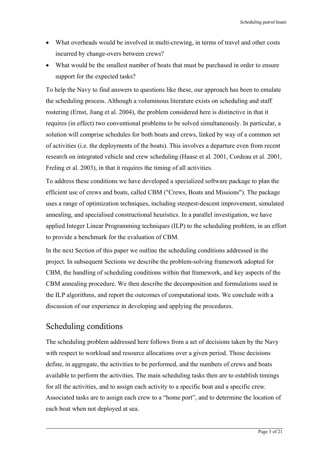- What overheads would be involved in multi-crewing, in terms of travel and other costs incurred by change-overs between crews?
- What would be the smallest number of boats that must be purchased in order to ensure support for the expected tasks?

To help the Navy to find answers to questions like these, our approach has been to emulate the scheduling process. Although a voluminous literature exists on scheduling and staff rostering (Ernst, Jiang et al. 2004), the problem considered here is distinctive in that it requires (in effect) two conventional problems to be solved simultaneously. In particular, a solution will comprise schedules for both boats and crews, linked by way of a common set of activities (i.e. the deployments of the boats). This involves a departure even from recent research on integrated vehicle and crew scheduling (Haase et al. 2001, Cordeau et al. 2001, Freling et al. 2003), in that it requires the timing of all activities.

To address these conditions we have developed a specialized software package to plan the efficient use of crews and boats, called CBM ("Crews, Boats and Missions"). The package uses a range of optimization techniques, including steepest-descent improvement, simulated annealing, and specialised constructional heuristics. In a parallel investigation, we have applied Integer Linear Programming techniques (ILP) to the scheduling problem, in an effort to provide a benchmark for the evaluation of CBM.

In the next Section of this paper we outline the scheduling conditions addressed in the project. In subsequent Sections we describe the problem-solving framework adopted for CBM, the handling of scheduling conditions within that framework, and key aspects of the CBM annealing procedure. We then describe the decomposition and formulations used in the ILP algorithms, and report the outcomes of computational tests. We conclude with a discussion of our experience in developing and applying the procedures.

# Scheduling conditions

The scheduling problem addressed here follows from a set of decisions taken by the Navy with respect to workload and resource allocations over a given period. Those decisions define, in aggregate, the activities to be performed, and the numbers of crews and boats available to perform the activities. The main scheduling tasks then are to establish timings for all the activities, and to assign each activity to a specific boat and a specific crew. Associated tasks are to assign each crew to a "home port", and to determine the location of each boat when not deployed at sea.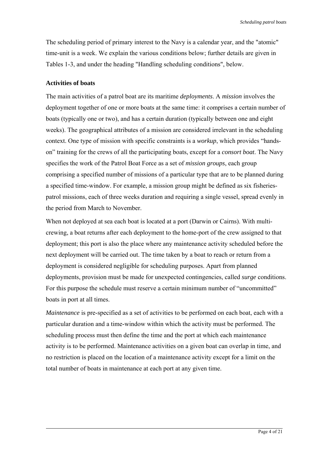The scheduling period of primary interest to the Navy is a calendar year, and the "atomic" time-unit is a week. We explain the various conditions below; further details are given in Tables 1-3, and under the heading "Handling scheduling conditions", below.

#### **Activities of boats**

The main activities of a patrol boat are its maritime *deployments*. A *mission* involves the deployment together of one or more boats at the same time: it comprises a certain number of boats (typically one or two), and has a certain duration (typically between one and eight weeks). The geographical attributes of a mission are considered irrelevant in the scheduling context. One type of mission with specific constraints is a *workup*, which provides "handson" training for the crews of all the participating boats, except for a *consort boat*. The Navy specifies the work of the Patrol Boat Force as a set of *mission groups*, each group comprising a specified number of missions of a particular type that are to be planned during a specified time-window. For example, a mission group might be defined as six fisheriespatrol missions, each of three weeks duration and requiring a single vessel, spread evenly in the period from March to November.

When not deployed at sea each boat is located at a port (Darwin or Cairns). With multicrewing, a boat returns after each deployment to the home-port of the crew assigned to that deployment; this port is also the place where any maintenance activity scheduled before the next deployment will be carried out. The time taken by a boat to reach or return from a deployment is considered negligible for scheduling purposes. Apart from planned deployments, provision must be made for unexpected contingencies, called *surge* conditions. For this purpose the schedule must reserve a certain minimum number of "uncommitted" boats in port at all times.

*Maintenance* is pre-specified as a set of activities to be performed on each boat, each with a particular duration and a time-window within which the activity must be performed. The scheduling process must then define the time and the port at which each maintenance activity is to be performed. Maintenance activities on a given boat can overlap in time, and no restriction is placed on the location of a maintenance activity except for a limit on the total number of boats in maintenance at each port at any given time.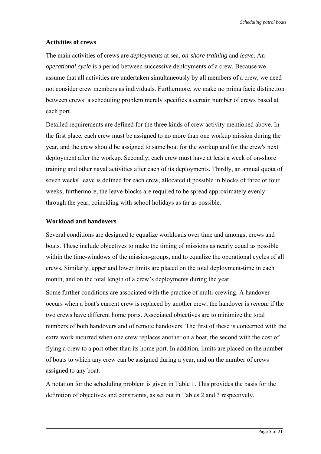*Scheduling patrol boats*

#### **Activities of crews**

The main activities of crews are *deployments* at sea, *on-shore training* and *leave*. An *operational cycle* is a period between successive deployments of a crew. Because we assume that all activities are undertaken simultaneously by all members of a crew, we need not consider crew members as individuals. Furthermore, we make no prima facie distinction between crews: a scheduling problem merely specifies a certain number of crews based at each port.

Detailed requirements are defined for the three kinds of crew activity mentioned above. In the first place, each crew must be assigned to no more than one workup mission during the year, and the crew should be assigned to same boat for the workup and for the crew's next deployment after the workup. Secondly, each crew must have at least a week of on-shore training and other naval activities after each of its deployments. Thirdly, an annual quota of seven weeks' leave is defined for each crew, allocated if possible in blocks of three or four weeks; furthermore, the leave-blocks are required to be spread approximately evenly through the year, coinciding with school holidays as far as possible.

#### **Workload and handovers**

Several conditions are designed to equalize workloads over time and amongst crews and boats. These include objectives to make the timing of missions as nearly equal as possible within the time-windows of the mission-groups, and to equalize the operational cycles of all crews. Similarly, upper and lower limits are placed on the total deployment-time in each month, and on the total length of a crew's deployments during the year.

Some further conditions are associated with the practice of multi-crewing. A handover occurs when a boat's current crew is replaced by another crew; the handover is *remote* if the two crews have different home ports. Associated objectives are to minimize the total numbers of both handovers and of remote handovers. The first of these is concerned with the extra work incurred when one crew replaces another on a boat, the second with the cost of flying a crew to a port other than its home port. In addition, limits are placed on the number of boats to which any crew can be assigned during a year, and on the number of crews assigned to any boat.

A notation for the scheduling problem is given in Table 1. This provides the basis for the definition of objectives and constraints, as set out in Tables 2 and 3 respectively.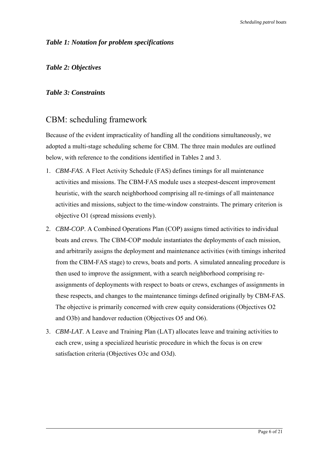#### *Table 1: Notation for problem specifications*

#### *Table 2: Objectives*

#### *Table 3: Constraints*

#### CBM: scheduling framework

Because of the evident impracticality of handling all the conditions simultaneously, we adopted a multi-stage scheduling scheme for CBM. The three main modules are outlined below, with reference to the conditions identified in Tables 2 and 3.

- 1. *CBM-FAS*. A Fleet Activity Schedule (FAS) defines timings for all maintenance activities and missions. The CBM-FAS module uses a steepest-descent improvement heuristic, with the search neighborhood comprising all re-timings of all maintenance activities and missions, subject to the time-window constraints. The primary criterion is objective O1 (spread missions evenly).
- 2. *CBM-COP*. A Combined Operations Plan (COP) assigns timed activities to individual boats and crews. The CBM-COP module instantiates the deployments of each mission, and arbitrarily assigns the deployment and maintenance activities (with timings inherited from the CBM-FAS stage) to crews, boats and ports. A simulated annealing procedure is then used to improve the assignment, with a search neighborhood comprising reassignments of deployments with respect to boats or crews, exchanges of assignments in these respects, and changes to the maintenance timings defined originally by CBM-FAS. The objective is primarily concerned with crew equity considerations (Objectives O2 and O3b) and handover reduction (Objectives O5 and O6).
- 3. *CBM-LAT*. A Leave and Training Plan (LAT) allocates leave and training activities to each crew, using a specialized heuristic procedure in which the focus is on crew satisfaction criteria (Objectives O3c and O3d).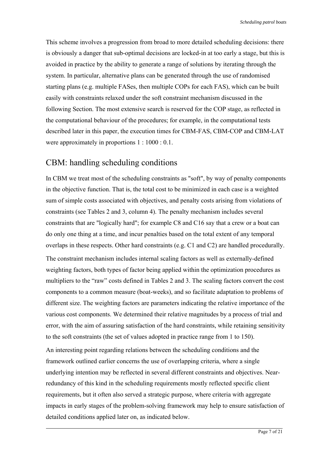This scheme involves a progression from broad to more detailed scheduling decisions: there is obviously a danger that sub-optimal decisions are locked-in at too early a stage, but this is avoided in practice by the ability to generate a range of solutions by iterating through the system. In particular, alternative plans can be generated through the use of randomised starting plans (e.g. multiple FASes, then multiple COPs for each FAS), which can be built easily with constraints relaxed under the soft constraint mechanism discussed in the following Section. The most extensive search is reserved for the COP stage, as reflected in the computational behaviour of the procedures; for example, in the computational tests described later in this paper, the execution times for CBM-FAS, CBM-COP and CBM-LAT were approximately in proportions 1 : 1000 : 0.1.

#### CBM: handling scheduling conditions

In CBM we treat most of the scheduling constraints as "soft", by way of penalty components in the objective function. That is, the total cost to be minimized in each case is a weighted sum of simple costs associated with objectives, and penalty costs arising from violations of constraints (see Tables 2 and 3, column 4). The penalty mechanism includes several constraints that are "logically hard"; for example C8 and C16 say that a crew or a boat can do only one thing at a time, and incur penalties based on the total extent of any temporal overlaps in these respects. Other hard constraints (e.g. C1 and C2) are handled procedurally. The constraint mechanism includes internal scaling factors as well as externally-defined weighting factors, both types of factor being applied within the optimization procedures as multipliers to the "raw" costs defined in Tables 2 and 3. The scaling factors convert the cost components to a common measure (boat-weeks), and so facilitate adaptation to problems of different size. The weighting factors are parameters indicating the relative importance of the various cost components. We determined their relative magnitudes by a process of trial and error, with the aim of assuring satisfaction of the hard constraints, while retaining sensitivity to the soft constraints (the set of values adopted in practice range from 1 to 150).

An interesting point regarding relations between the scheduling conditions and the framework outlined earlier concerns the use of overlapping criteria, where a single underlying intention may be reflected in several different constraints and objectives. Nearredundancy of this kind in the scheduling requirements mostly reflected specific client requirements, but it often also served a strategic purpose, where criteria with aggregate impacts in early stages of the problem-solving framework may help to ensure satisfaction of detailed conditions applied later on, as indicated below.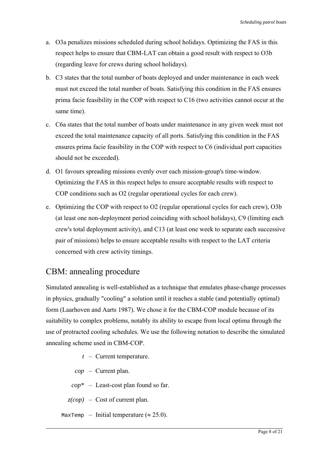- a. O3a penalizes missions scheduled during school holidays. Optimizing the FAS in this respect helps to ensure that CBM-LAT can obtain a good result with respect to O3b (regarding leave for crews during school holidays).
- b. C3 states that the total number of boats deployed and under maintenance in each week must not exceed the total number of boats. Satisfying this condition in the FAS ensures prima facie feasibility in the COP with respect to C16 (two activities cannot occur at the same time).
- c. C6a states that the total number of boats under maintenance in any given week must not exceed the total maintenance capacity of all ports. Satisfying this condition in the FAS ensures prima facie feasibility in the COP with respect to C6 (individual port capacities should not be exceeded).
- d. O1 favours spreading missions evenly over each mission-group's time-window. Optimizing the FAS in this respect helps to ensure acceptable results with respect to COP conditions such as O2 (regular operational cycles for each crew).
- e. Optimizing the COP with respect to O2 (regular operational cycles for each crew), O3b (at least one non-deployment period coinciding with school holidays), C9 (limiting each crew's total deployment activity), and C13 (at least one week to separate each successive pair of missions) helps to ensure acceptable results with respect to the LAT criteria concerned with crew activity timings.

### CBM: annealing procedure

Simulated annealing is well-established as a technique that emulates phase-change processes in physics, gradually "cooling" a solution until it reaches a stable (and potentially optimal) form (Laarhoven and Aarts 1987). We chose it for the CBM-COP module because of its suitability to complex problems, notably its ability to escape from local optima through the use of protracted cooling schedules. We use the following notation to describe the simulated annealing scheme used in CBM-COP.

- $t$  Current temperature.
- *cop* Current plan.
- *cop\** Least-cost plan found so far.
- *z(cop)* Cost of current plan.

MaxTemp – Initial temperature ( $\approx 25.0$ ).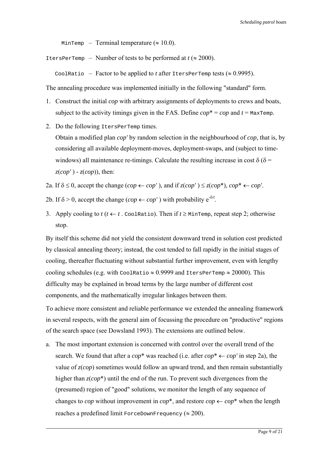MinTemp – Terminal temperature ( $\approx 10.0$ ).

ItersPerTemp – Number of tests to be performed at  $t \approx 2000$ .

CoolRatio – Factor to be applied to *t* after ItersPerTemp tests ( $\approx 0.9995$ ).

The annealing procedure was implemented initially in the following "standard" form.

- 1. Construct the initial *cop* with arbitrary assignments of deployments to crews and boats, subject to the activity timings given in the FAS. Define  $cop^* = cop$  and  $t = \text{MaxTemp}$ .
- 2. Do the following ItersPerTemp times.

Obtain a modified plan *cop'* by random selection in the neighbourhood of *cop*, that is, by considering all available deployment-moves, deployment-swaps, and (subject to timewindows) all maintenance re-timings. Calculate the resulting increase in cost  $\delta$  ( $\delta$  = *z*(*cop'* ) - *z*(*cop*)), then:

- 2a. If  $\delta \le 0$ , accept the change  $(cop \leftarrow cop')$ , and if  $z(cop') \le z(cop^*)$ ,  $cop^* \leftarrow cop'$ .
- 2b. If  $\delta > 0$ , accept the change (*cop*  $\leftarrow cop'$ ) with probability  $e^{-\delta/t}$ .
- 3. Apply cooling to  $t (t \leftarrow t \cdot \text{coolRatio})$ . Then if  $t \geq \text{MinTemp}$ , repeat step 2; otherwise stop.

By itself this scheme did not yield the consistent downward trend in solution cost predicted by classical annealing theory; instead, the cost tended to fall rapidly in the initial stages of cooling, thereafter fluctuating without substantial further improvement, even with lengthy cooling schedules (e.g. with  $\text{coolRatio} \approx 0.9999$  and  $\text{ItersPerTemp} \approx 20000$ ). This difficulty may be explained in broad terms by the large number of different cost components, and the mathematically irregular linkages between them.

To achieve more consistent and reliable performance we extended the annealing framework in several respects, with the general aim of focussing the procedure on "productive" regions of the search space (see Dowsland 1993). The extensions are outlined below.

a. The most important extension is concerned with control over the overall trend of the search. We found that after a  $\text{cop}^*$  was reached (i.e. after  $\text{cop}^* \leftarrow \text{cop}'$  in step 2a), the value of *z*(*cop*) sometimes would follow an upward trend, and then remain substantially higher than *z*(*cop*<sup>\*</sup>) until the end of the run. To prevent such divergences from the (presumed) region of "good" solutions, we monitor the length of any sequence of changes to *cop* without improvement in  $\cos^*$ , and restore  $\cos \leftarrow \cos^*$  when the length reaches a predefined limit  $r^{\text{o}}$  reachers ( $\approx 200$ ).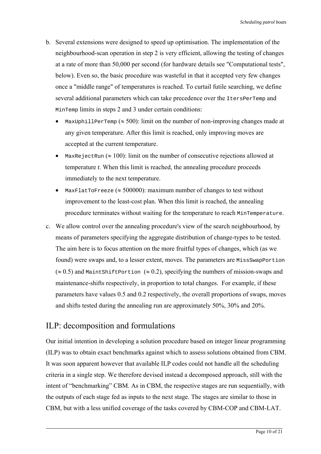- b. Several extensions were designed to speed up optimisation. The implementation of the neighbourhood-scan operation in step 2 is very efficient, allowing the testing of changes at a rate of more than 50,000 per second (for hardware details see "Computational tests", below). Even so, the basic procedure was wasteful in that it accepted very few changes once a "middle range" of temperatures is reached. To curtail futile searching, we define several additional parameters which can take precedence over the ItersPerTemp and MinTemp limits in steps 2 and 3 under certain conditions:
	- MaxUphillPerTemp ( $\approx$  500): limit on the number of non-improving changes made at any given temperature. After this limit is reached, only improving moves are accepted at the current temperature.
	- MaxRejectRun ( $\approx 100$ ): limit on the number of consecutive rejections allowed at temperature *t*. When this limit is reached, the annealing procedure proceeds immediately to the next temperature.
	- MaxFlatToFreeze ( $\approx$  500000): maximum number of changes to test without improvement to the least-cost plan. When this limit is reached, the annealing procedure terminates without waiting for the temperature to reach MinTemperature.
- c. We allow control over the annealing procedure's view of the search neighbourhood, by means of parameters specifying the aggregate distribution of change-types to be tested. The aim here is to focus attention on the more fruitful types of changes, which (as we found) were swaps and, to a lesser extent, moves. The parameters are MissSwapPortion  $(\approx 0.5)$  and MaintShiftPortion  $(\approx 0.2)$ , specifying the numbers of mission-swaps and maintenance-shifts respectively, in proportion to total changes. For example, if these parameters have values 0.5 and 0.2 respectively, the overall proportions of swaps, moves and shifts tested during the annealing run are approximately 50%, 30% and 20%.

### ILP: decomposition and formulations

Our initial intention in developing a solution procedure based on integer linear programming (ILP) was to obtain exact benchmarks against which to assess solutions obtained from CBM. It was soon apparent however that available ILP codes could not handle all the scheduling criteria in a single step. We therefore devised instead a decomposed approach, still with the intent of "benchmarking" CBM. As in CBM, the respective stages are run sequentially, with the outputs of each stage fed as inputs to the next stage. The stages are similar to those in CBM, but with a less unified coverage of the tasks covered by CBM-COP and CBM-LAT.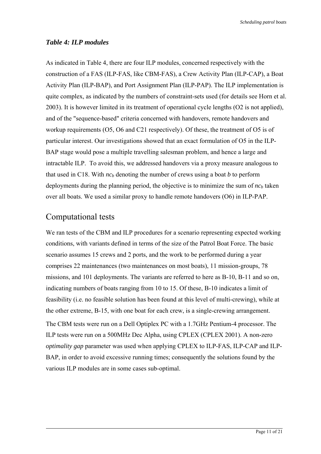*Scheduling patrol boats*

#### *Table 4: ILP modules*

As indicated in Table 4, there are four ILP modules, concerned respectively with the construction of a FAS (ILP-FAS, like CBM-FAS), a Crew Activity Plan (ILP-CAP), a Boat Activity Plan (ILP-BAP), and Port Assignment Plan (ILP-PAP). The ILP implementation is quite complex, as indicated by the numbers of constraint-sets used (for details see Horn et al. 2003). It is however limited in its treatment of operational cycle lengths (O2 is not applied), and of the "sequence-based" criteria concerned with handovers, remote handovers and workup requirements (O5, O6 and C21 respectively). Of these, the treatment of O5 is of particular interest. Our investigations showed that an exact formulation of O5 in the ILP-BAP stage would pose a multiple travelling salesman problem, and hence a large and intractable ILP. To avoid this, we addressed handovers via a proxy measure analogous to that used in C18. With  $nc<sub>b</sub>$  denoting the number of crews using a boat *b* to perform deployments during the planning period, the objective is to minimize the sum of  $nc<sub>b</sub>$  taken over all boats. We used a similar proxy to handle remote handovers (O6) in ILP-PAP.

#### Computational tests

We ran tests of the CBM and ILP procedures for a scenario representing expected working conditions, with variants defined in terms of the size of the Patrol Boat Force. The basic scenario assumes 15 crews and 2 ports, and the work to be performed during a year comprises 22 maintenances (two maintenances on most boats), 11 mission-groups, 78 missions, and 101 deployments. The variants are referred to here as B-10, B-11 and so on, indicating numbers of boats ranging from 10 to 15. Of these, B-10 indicates a limit of feasibility (i.e. no feasible solution has been found at this level of multi-crewing), while at the other extreme, B-15, with one boat for each crew, is a single-crewing arrangement. The CBM tests were run on a Dell Optiplex PC with a 1.7GHz Pentium-4 processor. The ILP tests were run on a 500MHz Dec Alpha, using CPLEX (CPLEX 2001). A non-zero *optimality gap* parameter was used when applying CPLEX to ILP-FAS, ILP-CAP and ILP-BAP, in order to avoid excessive running times; consequently the solutions found by the various ILP modules are in some cases sub-optimal.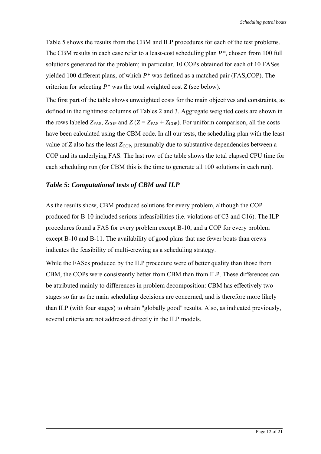Table 5 shows the results from the CBM and ILP procedures for each of the test problems. The CBM results in each case refer to a least-cost scheduling plan *P\**, chosen from 100 full solutions generated for the problem; in particular, 10 COPs obtained for each of 10 FASes yielded 100 different plans, of which *P\** was defined as a matched pair (FAS,COP). The criterion for selecting *P\** was the total weighted cost *Z* (see below).

The first part of the table shows unweighted costs for the main objectives and constraints, as defined in the rightmost columns of Tables 2 and 3. Aggregate weighted costs are shown in the rows labeled  $Z_{FAS}$ ,  $Z_{COP}$  and  $Z(Z = Z_{FAS} + Z_{COP})$ . For uniform comparison, all the costs have been calculated using the CBM code. In all our tests, the scheduling plan with the least value of  $Z$  also has the least  $Z_{COP}$ , presumably due to substantive dependencies between a COP and its underlying FAS. The last row of the table shows the total elapsed CPU time for each scheduling run (for CBM this is the time to generate all 100 solutions in each run).

#### *Table 5: Computational tests of CBM and ILP*

As the results show, CBM produced solutions for every problem, although the COP produced for B-10 included serious infeasibilities (i.e. violations of C3 and C16). The ILP procedures found a FAS for every problem except B-10, and a COP for every problem except B-10 and B-11. The availability of good plans that use fewer boats than crews indicates the feasibility of multi-crewing as a scheduling strategy.

While the FASes produced by the ILP procedure were of better quality than those from CBM, the COPs were consistently better from CBM than from ILP. These differences can be attributed mainly to differences in problem decomposition: CBM has effectively two stages so far as the main scheduling decisions are concerned, and is therefore more likely than ILP (with four stages) to obtain "globally good" results. Also, as indicated previously, several criteria are not addressed directly in the ILP models.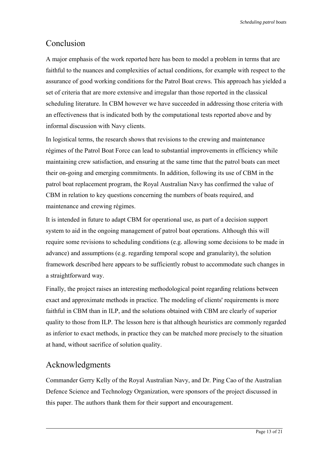*Scheduling patrol boats*

# Conclusion

A major emphasis of the work reported here has been to model a problem in terms that are faithful to the nuances and complexities of actual conditions, for example with respect to the assurance of good working conditions for the Patrol Boat crews. This approach has yielded a set of criteria that are more extensive and irregular than those reported in the classical scheduling literature. In CBM however we have succeeded in addressing those criteria with an effectiveness that is indicated both by the computational tests reported above and by informal discussion with Navy clients.

In logistical terms, the research shows that revisions to the crewing and maintenance régimes of the Patrol Boat Force can lead to substantial improvements in efficiency while maintaining crew satisfaction, and ensuring at the same time that the patrol boats can meet their on-going and emerging commitments. In addition, following its use of CBM in the patrol boat replacement program, the Royal Australian Navy has confirmed the value of CBM in relation to key questions concerning the numbers of boats required, and maintenance and crewing régimes.

It is intended in future to adapt CBM for operational use, as part of a decision support system to aid in the ongoing management of patrol boat operations. Although this will require some revisions to scheduling conditions (e.g. allowing some decisions to be made in advance) and assumptions (e.g. regarding temporal scope and granularity), the solution framework described here appears to be sufficiently robust to accommodate such changes in a straightforward way.

Finally, the project raises an interesting methodological point regarding relations between exact and approximate methods in practice. The modeling of clients' requirements is more faithful in CBM than in ILP, and the solutions obtained with CBM are clearly of superior quality to those from ILP. The lesson here is that although heuristics are commonly regarded as inferior to exact methods, in practice they can be matched more precisely to the situation at hand, without sacrifice of solution quality.

# Acknowledgments

Commander Gerry Kelly of the Royal Australian Navy, and Dr. Ping Cao of the Australian Defence Science and Technology Organization, were sponsors of the project discussed in this paper. The authors thank them for their support and encouragement.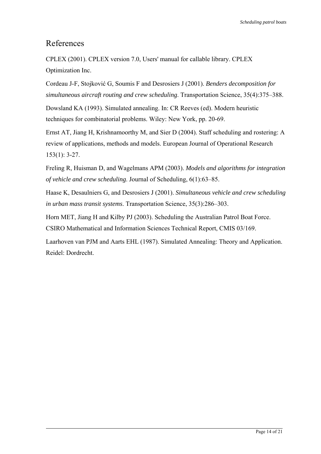### References

CPLEX (2001). CPLEX version 7.0, Users' manual for callable library. CPLEX Optimization Inc.

Cordeau J-F, Stojković G, Soumis F and Desrosiers J (2001). *Benders decomposition for simultaneous aircraft routing and crew scheduling*. Transportation Science, 35(4):375–388.

Dowsland KA (1993). Simulated annealing. In: CR Reeves (ed). Modern heuristic techniques for combinatorial problems. Wiley: New York, pp. 20-69.

Ernst AT, Jiang H, Krishnamoorthy M, and Sier D (2004). Staff scheduling and rostering: A review of applications, methods and models. European Journal of Operational Research 153(1): 3-27.

Freling R, Huisman D, and Wagelmans APM (2003). *Models and algorithms for integration of vehicle and crew scheduling*. Journal of Scheduling, 6(1):63–85.

Haase K, Desaulniers G, and Desrosiers J (2001). *Simultaneous vehicle and crew scheduling in urban mass transit systems*. Transportation Science, 35(3):286–303.

Horn MET, Jiang H and Kilby PJ (2003). Scheduling the Australian Patrol Boat Force. CSIRO Mathematical and Information Sciences Technical Report, CMIS 03/169.

Laarhoven van PJM and Aarts EHL (1987). Simulated Annealing: Theory and Application. Reidel: Dordrecht.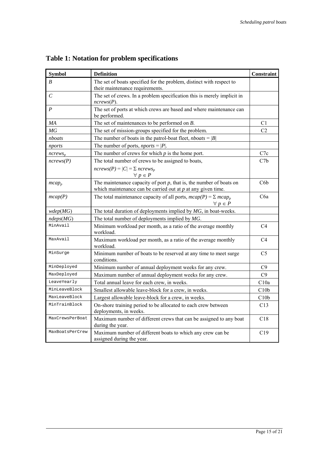| <b>Symbol</b>       | <b>Definition</b>                                                                                                                        | <b>Constraint</b> |  |  |  |  |
|---------------------|------------------------------------------------------------------------------------------------------------------------------------------|-------------------|--|--|--|--|
| B                   | The set of boats specified for the problem, distinct with respect to<br>their maintenance requirements.                                  |                   |  |  |  |  |
| C                   | The set of crews. In a problem specification this is merely implicit in<br>$ncrews(P)$ .                                                 |                   |  |  |  |  |
| $\boldsymbol{P}$    | The set of ports at which crews are based and where maintenance can<br>be performed.                                                     |                   |  |  |  |  |
| ΜA                  | The set of maintenances to be performed on $B$ .                                                                                         | C <sub>1</sub>    |  |  |  |  |
| MG                  | The set of mission-groups specified for the problem.                                                                                     | C <sub>2</sub>    |  |  |  |  |
| nboats              | The number of boats in the patrol-boat fleet, <i>nboats</i> = $ B $                                                                      |                   |  |  |  |  |
| nports              | The number of ports, <i>nports</i> = $ P $ .                                                                                             |                   |  |  |  |  |
| ncrews <sub>n</sub> | The number of crews for which $p$ is the home port.                                                                                      | C7c               |  |  |  |  |
| ncrews(P)           | The total number of crews to be assigned to boats,                                                                                       | C7b               |  |  |  |  |
|                     | $ncrews(P) =  C  = \sum ncrews_p$<br>$\forall p \in P$                                                                                   |                   |  |  |  |  |
| mcap <sub>p</sub>   | The maintenance capacity of port $p$ , that is, the number of boats on<br>which maintenance can be carried out at $p$ at any given time. | C6b               |  |  |  |  |
| mcap(P)             | The total maintenance capacity of all ports, $mcap(P) = \sum mcap_p$<br>$\forall p \in P$                                                | C6a               |  |  |  |  |
| wdep(MG)            | The total duration of deployments implied by $MG$ , in boat-weeks.                                                                       |                   |  |  |  |  |
| ndeps(MG)           | The total number of deployments implied by $MG$ .                                                                                        |                   |  |  |  |  |
| MinAvail            | Minimum workload per month, as a ratio of the average monthly<br>workload.                                                               | C <sub>4</sub>    |  |  |  |  |
| MaxAvail            | Maximum workload per month, as a ratio of the average monthly<br>workload.                                                               | C <sub>4</sub>    |  |  |  |  |
| MinSurge            | Minimum number of boats to be reserved at any time to meet surge<br>conditions.                                                          | C <sub>5</sub>    |  |  |  |  |
| MinDeployed         | Minimum number of annual deployment weeks for any crew.                                                                                  | C9                |  |  |  |  |
| MaxDeployed         | Maximum number of annual deployment weeks for any crew.                                                                                  | C9                |  |  |  |  |
| LeaveYearly         | Total annual leave for each crew, in weeks.                                                                                              | C10a              |  |  |  |  |
| MinLeaveBlock       | Smallest allowable leave-block for a crew, in weeks.                                                                                     | C10 <sub>b</sub>  |  |  |  |  |
| MaxLeaveBlock       | Largest allowable leave-block for a crew, in weeks.                                                                                      | C10 <sub>b</sub>  |  |  |  |  |
| MinTrainBlock       | On-shore training period to be allocated to each crew between<br>deployments, in weeks.                                                  | C13               |  |  |  |  |
| MaxCrewsPerBoat     | Maximum number of different crews that can be assigned to any boat<br>during the year.                                                   | C18               |  |  |  |  |
| MaxBoatsPerCrew     | Maximum number of different boats to which any crew can be<br>assigned during the year.                                                  |                   |  |  |  |  |

**Table 1: Notation for problem specifications**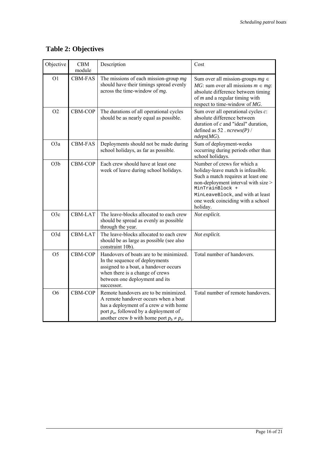# **Table 2: Objectives**

| Objective        | <b>CBM</b><br>module | Description                                                                                                                                                                                                                  | Cost                                                                                                                                                                                                                                                   |
|------------------|----------------------|------------------------------------------------------------------------------------------------------------------------------------------------------------------------------------------------------------------------------|--------------------------------------------------------------------------------------------------------------------------------------------------------------------------------------------------------------------------------------------------------|
| O <sub>1</sub>   | <b>CBM-FAS</b>       | The missions of each mission-group $mg$<br>should have their timings spread evenly<br>across the time-window of mg.                                                                                                          | Sum over all mission-groups $mg \in$<br><i>MG</i> : sum over all missions $m \in mg$ :<br>absolute difference between timing<br>of $m$ and a regular timing with<br>respect to time-window of MG.                                                      |
| O <sub>2</sub>   | <b>CBM-COP</b>       | The durations of all operational cycles<br>should be as nearly equal as possible.                                                                                                                                            | Sum over all operational cycles $c$ :<br>absolute difference between<br>duration of $c$ and "ideal" duration,<br>defined as $52$ . $ncrews(P)$ /<br>$ndeps(MG)$ .                                                                                      |
| O3a              | <b>CBM-FAS</b>       | Deployments should not be made during<br>school holidays, as far as possible.                                                                                                                                                | Sum of deployment-weeks<br>occurring during periods other than<br>school holidays.                                                                                                                                                                     |
| O <sub>3</sub> b | <b>CBM-COP</b>       | Each crew should have at least one<br>week of leave during school holidays.                                                                                                                                                  | Number of crews for which a<br>holiday-leave match is infeasible.<br>Such a match requires at least one<br>non-deployment interval with size ><br>MinTrainBlock +<br>MinLeaveBlock, and with at least<br>one week coinciding with a school<br>holiday. |
| O <sub>3</sub> c | <b>CBM-LAT</b>       | The leave-blocks allocated to each crew<br>should be spread as evenly as possible<br>through the year.                                                                                                                       | Not explicit.                                                                                                                                                                                                                                          |
| O3d              | <b>CBM-LAT</b>       | The leave-blocks allocated to each crew<br>should be as large as possible (see also<br>constraint 10b).                                                                                                                      | Not explicit.                                                                                                                                                                                                                                          |
| O <sub>5</sub>   | <b>CBM-COP</b>       | Handovers of boats are to be minimized.<br>In the sequence of deployments<br>assigned to a boat, a handover occurs<br>when there is a change of crews<br>between one deployment and its<br>successor.                        | Total number of handovers.                                                                                                                                                                                                                             |
| <b>O6</b>        | CBM-COP              | Remote handovers are to be minimized.<br>A remote handover occurs when a boat<br>has a deployment of a crew a with home<br>port $p_a$ , followed by a deployment of<br>another crew <i>b</i> with home port $p_b \neq p_a$ . | Total number of remote handovers.                                                                                                                                                                                                                      |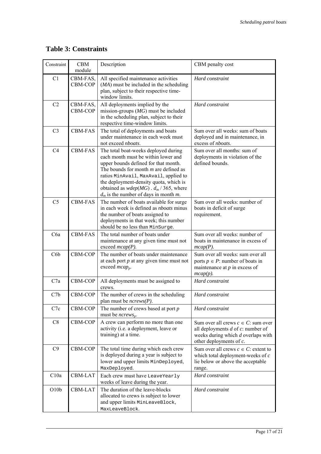#### **Table 3: Constraints**

| Constraint       | <b>CBM</b><br>module       | Description                                                                                                                                                                                                                                                                                                                                  | CBM penalty cost                                                                                                                                      |
|------------------|----------------------------|----------------------------------------------------------------------------------------------------------------------------------------------------------------------------------------------------------------------------------------------------------------------------------------------------------------------------------------------|-------------------------------------------------------------------------------------------------------------------------------------------------------|
| C <sub>1</sub>   | CBM-FAS,<br><b>CBM-COP</b> | All specified maintenance activities<br>$(MA)$ must be included in the scheduling<br>plan, subject to their respective time-<br>window limits.                                                                                                                                                                                               | Hard constraint                                                                                                                                       |
| C <sub>2</sub>   | CBM-FAS,<br>CBM-COP        | All deployments implied by the<br>mission-groups $(MG)$ must be included<br>in the scheduling plan, subject to their<br>respective time-window limits.                                                                                                                                                                                       | Hard constraint                                                                                                                                       |
| C <sub>3</sub>   | <b>CBM-FAS</b>             | The total of deployments and boats<br>under maintenance in each week must<br>not exceed <i>nboats</i> .                                                                                                                                                                                                                                      | Sum over all weeks: sum of boats<br>deployed and in maintenance, in<br>excess of <i>nboats</i> .                                                      |
| C <sub>4</sub>   | <b>CBM-FAS</b>             | The total boat-weeks deployed during<br>each month must be within lower and<br>upper bounds defined for that month.<br>The bounds for month $m$ are defined as<br>ratios MinAvail, MaxAvail, applied to<br>the deployment-density quota, which is<br>obtained as $wdep(MG)$ . $d_m / 365$ , where<br>$d_m$ is the number of days in month m. | Sum over all months: sum of<br>deployments in violation of the<br>defined bounds.                                                                     |
| C <sub>5</sub>   | <b>CBM-FAS</b>             | The number of boats available for surge<br>in each week is defined as <i>nboats</i> minus<br>the number of boats assigned to<br>deployments in that week; this number<br>should be no less than MinSurge.                                                                                                                                    | Sum over all weeks: number of<br>boats in deficit of surge<br>requirement.                                                                            |
| C <sub>6a</sub>  | <b>CBM-FAS</b>             | The total number of boats under<br>maintenance at any given time must not<br>exceed $mcap(P)$ .                                                                                                                                                                                                                                              | Sum over all weeks: number of<br>boats in maintenance in excess of<br>$mcap(P)$ .                                                                     |
| C6b              | <b>CBM-COP</b>             | The number of boats under maintenance<br>at each port $p$ at any given time must not<br>exceed $mcap_p$ .                                                                                                                                                                                                                                    | Sum over all weeks: sum over all<br>ports $p \in P$ : number of boats in<br>maintenance at $p$ in excess of<br>$mcap(p)$ .                            |
| C7a              | <b>CBM-COP</b>             | All deployments must be assigned to<br>crews.                                                                                                                                                                                                                                                                                                | Hard constraint                                                                                                                                       |
| C7b              | CBM-COP                    | The number of crews in the scheduling<br>plan must be <i>ncrews(P)</i> .                                                                                                                                                                                                                                                                     | Hard constraint                                                                                                                                       |
| C7c              | CBM-COP                    | The number of crews based at port $p$<br>must be $ncrews_p$ .                                                                                                                                                                                                                                                                                | Hard constraint                                                                                                                                       |
| C8               | CBM-COP                    | A crew can perform no more than one<br>activity (i.e. a deployment, leave or<br>training) at a time.                                                                                                                                                                                                                                         | Sum over all crews $c \in C$ : sum over<br>all deployments $d$ of $c$ : number of<br>weeks during which d overlaps with<br>other deployments of $c$ . |
| C9               | CBM-COP                    | The total time during which each crew<br>is deployed during a year is subject to<br>lower and upper limits MinDeployed,<br>MaxDeployed.                                                                                                                                                                                                      | Sum over all crews $c \in C$ : extent to<br>which total deployment-weeks of $c$<br>lie below or above the acceptable<br>range.                        |
| C10a             | <b>CBM-LAT</b>             | Each crew must have LeaveYearly<br>weeks of leave during the year.                                                                                                                                                                                                                                                                           | Hard constraint                                                                                                                                       |
| O10 <sub>b</sub> | CBM-LAT                    | The duration of the leave-blocks<br>allocated to crews is subject to lower<br>and upper limits MinLeaveBlock,<br>MaxLeaveBlock.                                                                                                                                                                                                              | Hard constraint                                                                                                                                       |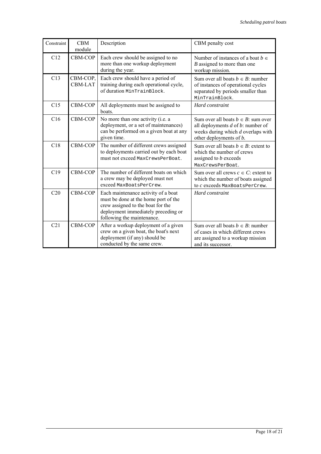| Constraint      | <b>CBM</b><br>module       | Description                                                                                                                                                                           | CBM penalty cost                                                                                                                                   |
|-----------------|----------------------------|---------------------------------------------------------------------------------------------------------------------------------------------------------------------------------------|----------------------------------------------------------------------------------------------------------------------------------------------------|
| C12             | CBM-COP                    | Each crew should be assigned to no<br>more than one workup deployment<br>during the year.                                                                                             | Number of instances of a boat $b \in$<br>$B$ assigned to more than one<br>workup mission.                                                          |
| C13             | CBM-COP,<br><b>CBM-LAT</b> | Each crew should have a period of<br>training during each operational cycle,<br>of duration MinTrainBlock.                                                                            | Sum over all boats $b \in B$ : number<br>of instances of operational cycles<br>separated by periods smaller than<br>MinTrainBlock.                 |
| C15             | CBM-COP                    | All deployments must be assigned to<br>boats.                                                                                                                                         | Hard constraint                                                                                                                                    |
| C16             | CBM-COP                    | No more than one activity (i.e. a<br>deployment, or a set of maintenances)<br>can be performed on a given boat at any<br>given time.                                                  | Sum over all boats $b \in B$ : sum over<br>all deployments $d$ of $b$ : number of<br>weeks during which d overlaps with<br>other deployments of b. |
| C18             | <b>CBM-COP</b>             | The number of different crews assigned<br>to deployments carried out by each boat<br>must not exceed MaxCrewsPerBoat.                                                                 | Sum over all boats $b \in B$ : extent to<br>which the number of crews<br>assigned to b exceeds<br>MaxCrewsPerBoat.                                 |
| C19             | CBM-COP                    | The number of different boats on which<br>a crew may be deployed must not<br>exceed MaxBoatsPerCrew.                                                                                  | Sum over all crews $c \in C$ : extent to<br>which the number of boats assigned<br>to c exceeds MaxBoatsPerCrew.                                    |
| C <sub>20</sub> | CBM-COP                    | Each maintenance activity of a boat<br>must be done at the home port of the<br>crew assigned to the boat for the<br>deployment immediately preceding or<br>following the maintenance. | Hard constraint                                                                                                                                    |
| C21             | CBM-COP                    | After a workup deployment of a given<br>crew on a given boat, the boat's next<br>deployment (if any) should be<br>conducted by the same crew.                                         | Sum over all boats $b \in B$ : number<br>of cases in which different crews<br>are assigned to a workup mission<br>and its successor.               |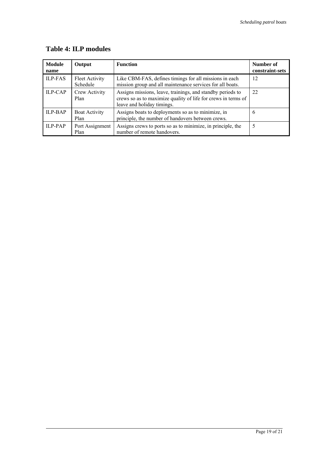| <b>Module</b><br>name | Output                       | <b>Function</b>                                                                                                                                           | Number of<br>constraint-sets |
|-----------------------|------------------------------|-----------------------------------------------------------------------------------------------------------------------------------------------------------|------------------------------|
| <b>ILP-FAS</b>        | Fleet Activity<br>Schedule   | Like CBM-FAS, defines timings for all missions in each<br>mission group and all maintenance services for all boats.                                       | 12                           |
| ILP-CAP               | Crew Activity<br>Plan        | Assigns missions, leave, trainings, and standby periods to<br>crews so as to maximize quality of life for crews in terms of<br>leave and holiday timings. | 22                           |
| <b>ILP-BAP</b>        | <b>Boat Activity</b><br>Plan | Assigns boats to deployments so as to minimize, in<br>principle, the number of handovers between crews.                                                   | 6                            |
| ILP-PAP               | Port Assignment<br>Plan      | Assigns crews to ports so as to minimize, in principle, the<br>number of remote handovers.                                                                | 5                            |

**Table 4: ILP modules**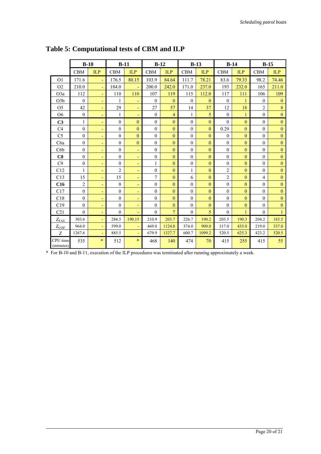|                       | $B-10$           |                          |                  |                | $B-11$           |                | $B-12$           |              | $B-13$         |                | $B-14$           |                  | $B-15$ |  |
|-----------------------|------------------|--------------------------|------------------|----------------|------------------|----------------|------------------|--------------|----------------|----------------|------------------|------------------|--------|--|
|                       | <b>CBM</b>       | <b>ILP</b>               | <b>CBM</b>       | <b>ILP</b>     | <b>CBM</b>       | <b>ILP</b>     | <b>CBM</b>       | <b>ILP</b>   | <b>CBM</b>     | <b>ILP</b>     | <b>CBM</b>       | <b>ILP</b>       |        |  |
| O <sub>1</sub>        | 171.6            | $\overline{\phantom{a}}$ | 176.5            | 80.15          | 103.9            | 84.64          | 111.7            | 78.21        | 83.6           | 79.33          | 98.2             | 74.46            |        |  |
| O <sub>2</sub>        | 210.0            | Ξ                        | 184.0            | Ξ              | 200.0            | 242.0          | 171.0            | 237.0        | 193            | 232.0          | 165              | 211.0            |        |  |
| O3a                   | 112              | ٠                        | 110              | 110            | 107              | 119            | 115              | 112.0        | 117            | 111            | 106              | 109              |        |  |
| O <sub>3</sub> b      | $\overline{0}$   | ٠                        | 1                | ٠              | $\mathbf{0}$     | $\mathbf{0}$   | $\mathbf{0}$     | $\mathbf{0}$ | $\theta$       | 1              | $\mathbf{0}$     | $\boldsymbol{0}$ |        |  |
| O <sub>5</sub>        | 42               | ÷,                       | 29               | $\blacksquare$ | 27               | 57             | 14               | 37           | 12             | 18             | $\overline{2}$   | $\bf 8$          |        |  |
| O <sub>6</sub>        | $\boldsymbol{0}$ | ÷                        | $\mathbf{1}$     | ÷              | $\mathbf{0}$     | $\overline{4}$ | 1                | 5            | $\mathbf{0}$   | $\mathbf{1}$   | $\mathbf{0}$     | $\boldsymbol{0}$ |        |  |
| C <sub>3</sub>        | $\mathbf{1}$     | ٠                        | $\mathbf{0}$     | $\mathbf{0}$   | $\overline{0}$   | $\mathbf{0}$   | $\mathbf{0}$     | $\mathbf{0}$ | $\mathbf{0}$   | $\overline{0}$ | $\mathbf{0}$     | $\mathbf{0}$     |        |  |
| C <sub>4</sub>        | $\overline{0}$   | ٠                        | $\mathbf{0}$     | $\mathbf{0}$   | $\overline{0}$   | $\mathbf{0}$   | $\theta$         | $\mathbf{0}$ | 0.29           | $\overline{0}$ | $\mathbf{0}$     | $\mathbf{0}$     |        |  |
| C <sub>5</sub>        | $\boldsymbol{0}$ | ٠                        | $\mathbf{0}$     | $\mathbf{0}$   | $\boldsymbol{0}$ | $\mathbf{0}$   | $\boldsymbol{0}$ | $\mathbf{0}$ | $\mathbf{0}$   | $\overline{0}$ | $\mathbf{0}$     | $\mathbf{0}$     |        |  |
| C <sub>6</sub> a      | $\boldsymbol{0}$ | ٠                        | $\mathbf{0}$     | $\overline{0}$ | $\boldsymbol{0}$ | $\mathbf{0}$   | $\boldsymbol{0}$ | $\theta$     | $\mathbf{0}$   | $\Omega$       | $\mathbf{0}$     | $\mathbf{0}$     |        |  |
| C6b                   | $\Omega$         | ٠                        | $\mathbf{0}$     | $\blacksquare$ | $\mathbf{0}$     | $\mathbf{0}$   | $\theta$         | $\theta$     | $\mathbf{0}$   | $\mathbf{0}$   | $\theta$         | $\mathbf{0}$     |        |  |
| C8                    | $\overline{0}$   | ٠                        | $\boldsymbol{0}$ | ÷              | $\overline{0}$   | $\mathbf{0}$   | $\theta$         | $\theta$     | $\mathbf{0}$   | $\mathbf{0}$   | $\mathbf{0}$     | $\mathbf{0}$     |        |  |
| C9                    | $\boldsymbol{0}$ | ٠                        | $\mathbf{0}$     | $\blacksquare$ | $\mathbf{1}$     | $\mathbf{0}$   | $\theta$         | $\theta$     | $\mathbf{0}$   | $\overline{0}$ | $\mathbf{0}$     | $\mathbf{0}$     |        |  |
| C12                   | 1                | ٠                        | $\overline{2}$   | ÷              | $\boldsymbol{0}$ | $\mathbf{0}$   | 1                | $\mathbf{0}$ | 2              | $\mathbf{0}$   | $\boldsymbol{0}$ | $\mathbf{0}$     |        |  |
| C13                   | 15               | ٠                        | 15               | $\blacksquare$ | 7                | $\mathbf{0}$   | 6                | $\mathbf{0}$ | $\overline{c}$ | $\overline{0}$ | $\overline{4}$   | $\mathbf{0}$     |        |  |
| C16                   | $\overline{c}$   | ٠                        | $\boldsymbol{0}$ | $\blacksquare$ | $\boldsymbol{0}$ | $\mathbf{0}$   | $\mathbf{0}$     | $\mathbf{0}$ | $\mathbf{0}$   | $\overline{0}$ | $\mathbf{0}$     | $\mathbf{0}$     |        |  |
| C17                   | $\boldsymbol{0}$ | ÷                        | $\boldsymbol{0}$ | ÷              | $\mathbf{0}$     | $\mathbf{0}$   | $\mathbf{0}$     | $\mathbf{0}$ | $\mathbf{0}$   | $\overline{0}$ | $\mathbf{0}$     | $\mathbf{0}$     |        |  |
| C18                   | $\mathbf{0}$     | ٠                        | $\mathbf{0}$     | ٠              | $\mathbf{0}$     | $\mathbf{0}$   | $\theta$         | $\mathbf{0}$ | $\theta$       | $\overline{0}$ | $\Omega$         | $\mathbf{0}$     |        |  |
| C19                   | $\overline{0}$   | ٠                        | $\mathbf{0}$     | ٠              | $\mathbf{0}$     | $\mathbf{0}$   | $\theta$         | $\theta$     | $\mathbf{0}$   | $\overline{0}$ | $\theta$         | $\mathbf{0}$     |        |  |
| C21                   | $\overline{0}$   | ٠                        | $\mathbf{0}$     | Ξ              | $\theta$         | $\overline{7}$ | $\theta$         | 5            | $\theta$       | $\mathbf{1}$   | $\mathbf{0}$     | $\mathbf{1}$     |        |  |
| $Z_{FAS}$             | 303.6            | ÷.                       | 286.5            | 190.15         | 210.9            | 203.7          | 226.7            | 190.2        | 203.5          | 190.3          | 204.2            | 183.5            |        |  |
| $Z_{COP}$             | 964.0            | ٠                        | 599.0            | ÷.             | 469.0            | 1124.0         | 374.0            | 909.0        | 317.0          | 435.0          | 219.0            | 337.0            |        |  |
| Z                     | 1267.6           |                          | 885.5            | ÷.             | 679.9            | 1327.7         | 600.7            | 1099.2       | 520.5          | 625.3          | 423.2            | 520.5            |        |  |
| CPU time<br>(minutes) | 535              | $\ast$                   | 512              | $\ast$         | 468              | 140            | 474              | 70           | 415            | 255            | 415              | 55               |        |  |

# **Table 5: Computational tests of CBM and ILP**

\* For B-10 and B-11, execution of the ILP procedures was terminated after running approximately a week.